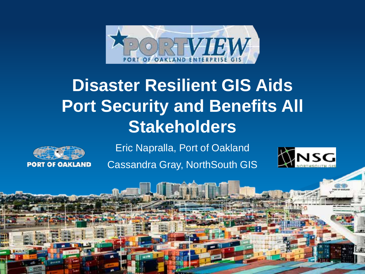

# **Disaster Resilient GIS Aids Port Security and Benefits All Stakeholders**



Eric Napralla, Port of Oakland

Cassandra Gray, NorthSouth GIS

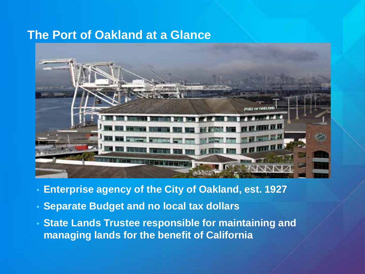### **The Port of Oakland at a Glance**



- **Enterprise agency of the City of Oakland, est. 1927**
- **Separate Budget and no local tax dollars**
- **State Lands Trustee responsible for maintaining and managing lands for the benefit of California**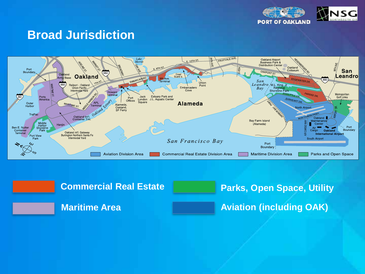

### **Broad Jurisdiction**



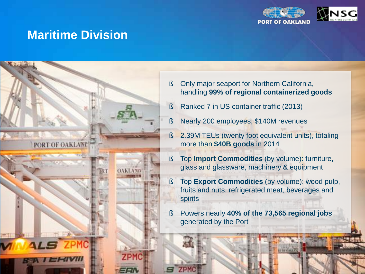

### **Maritime Division**



- § Only major seaport for Northern California, handling **99% of regional containerized goods**
- § Ranked 7 in US container traffic (2013)
	- § Nearly 200 employees, \$140M revenues
	- § 2.39M TEUs (twenty foot equivalent units), totaling more than **\$40B goods** in 2014
- § Top **Import Commodities** (by volume): furniture, glass and glassware, machinery & equipment
- § Top **Export Commodities** (by volume): wood pulp, fruits and nuts, refrigerated meat, beverages and spirits
- § Powers nearly **40% of the 73,565 regional jobs** generated by the Port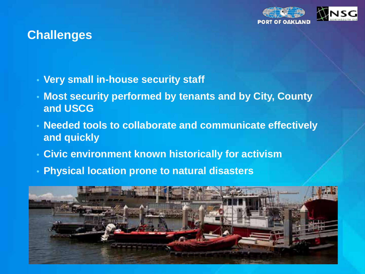

# **Challenges**

- **Very small in-house security staff**
- **Most security performed by tenants and by City, County and USCG**
- **Needed tools to collaborate and communicate effectively and quickly**
- **Civic environment known historically for activism**
- **Physical location prone to natural disasters**

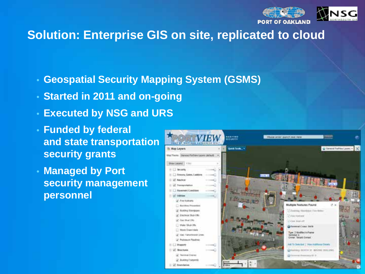

# **Solution: Enterprise GIS on site, replicated to cloud**

- **Geospatial Security Mapping System (GSMS)**
- **Started in 2011 and on-going**
- **Executed by NSG and URS**
- **Funded by federal and state transportation security grants**
- **Managed by Port security management personnel**

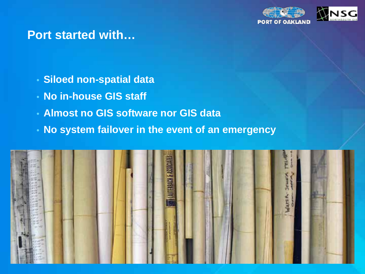

#### **Port started with…**

- **Siloed non-spatial data**
- **No in-house GIS staff**
- **Almost no GIS software nor GIS data**
- **No system failover in the event of an emergency**

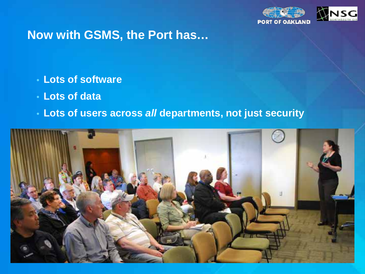

# **Now with GSMS, the Port has…**

- **Lots of software**
- **Lots of data**
- **Lots of users across** *all* **departments, not just security**

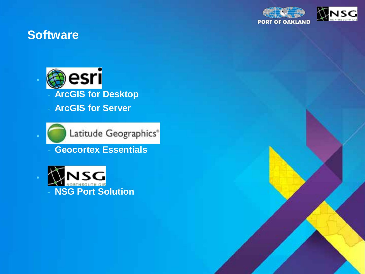

# **Software**

•



Latitude Geographics®

- **Geocortex Essentials**

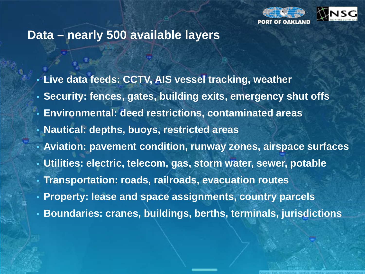

#### **Data – nearly 500 available layers**

• **Live data feeds: CCTV, AIS vessel tracking, weather**

- **Security: fences, gates, building exits, emergency shut offs**
- **Environmental: deed restrictions, contaminated areas**
- **Nautical: depths, buoys, restricted areas**
- **Aviation: pavement condition, runway zones, airspace surfaces**
- **Utilities: electric, telecom, gas, storm water, sewer, potable**
- **Transportation: roads, railroads, evacuation routes**
- **Property: lease and space assignments, country parcels**
- **Boundaries: cranes, buildings, berths, terminals, jurisdictions**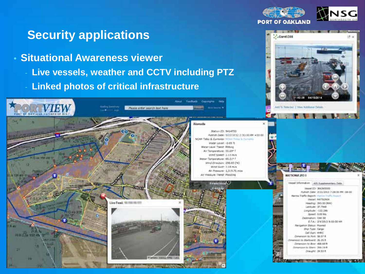

.CarikC08

# **Security applications**

- **Situational Awareness viewer**
	- **Live vessels, weather and CCTV including PTZ**
	- **Linked photos of critical infrastructure**

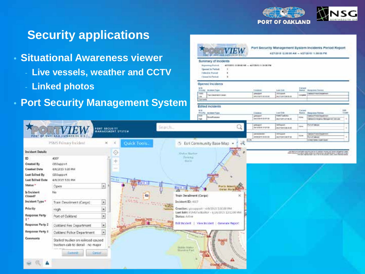

# **Security applications**

- **Situational Awareness viewer**
	- **Live vessels, weather and CCTV**
	- **Linked photos**

PSMS fhinacy Incident

4307

**TICQUARTO** 

CISSupport

Open

High

**Film** 

4/9/2015 5:30 PM

4/9/2015 5:31 PM

Port of Cokland

Train Derailment (Cargo)

**Dakland Fire Department** 

**Oakland Folice Department** 

**Carteret** 

Stalled trucker on railroad coused traction cab to derail - no major

• **Port Security Management System**

FORT SECURITY<br>MANAGEMENT SYSTEM

G

×

 $\overline{\phantom{a}}$ 

Ŀ  $\ddot{\phantom{0}}$ 

ī.

F

G

Cartier



**Incident Details** 

Created By

Status \*

Closed? Incident Type \*

Priority

 $1.1$ 

**Response Party** 

Response Party 2

**Response Party 1** 

Comments

Is Incident

**Created Date** 

Last Edited By

Last Edited Outs

ю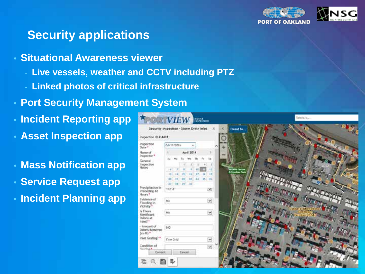

# **Security applications**

- **Situational Awareness viewer**
	- Live vessels, weather and **CCTV** including PTZ
	- **Linked photos of critical infrastructure**
- **Port Security Management System**
- **Incident Reporting app**
- **Asset Inspection app**
- **Mass Notification app**
- **Service Request app**
- **Incident Planning app**

| Security Inspection - Storm Drain Inlet                   |                       |      |         |    |     |      |                |  |
|-----------------------------------------------------------|-----------------------|------|---------|----|-----|------|----------------|--|
| Inspection (D # 4601                                      |                       |      |         |    |     |      |                |  |
| nspection<br>Data <sup>+</sup>                            | 04/11/2014<br>×       |      |         |    |     |      |                |  |
| Name of<br>inspector *<br>General<br>inspection<br>Notes: | April 2014            |      |         |    |     |      |                |  |
|                                                           | Su Mo                 |      |         |    | Th. | ۴v   | 1a             |  |
|                                                           |                       |      | u.      | ź. | ä   | ÷    | 3              |  |
|                                                           | HET.                  | - 21 | ٠       |    | m   |      | 1à             |  |
|                                                           | $10^{-1}$             | 14   | 违       | ١ä | U.  | 18   | 48             |  |
|                                                           | ×                     | m    | Ħ       | Ħ  | 28  | 25.7 | $\overline{z}$ |  |
|                                                           | 2917.25<br>m<br>12    |      |         |    |     |      |                |  |
| Procipitation in<br>Proceding 48<br>Hours <sup>*</sup>    | 17251                 |      |         |    |     |      | ×              |  |
| Evidence of<br>Flooding in<br>Vicinity*                   | <b>No</b><br>×        |      |         |    |     |      |                |  |
| is There<br>Simificant.<br>Debris at<br>Indet?"           | No                    |      |         |    |     |      | $\checkmark$   |  |
| h saucant-<br>Debris Removed<br>fra fti *                 | t00                   |      |         |    |     |      |                |  |
| 'niet Grating? *                                          | $\omega$<br>Flow Grid |      |         |    |     |      |                |  |
| Condition of<br>Cratinal<br>Convolt                       |                       |      | Cancel. |    |     |      | $\sim$         |  |

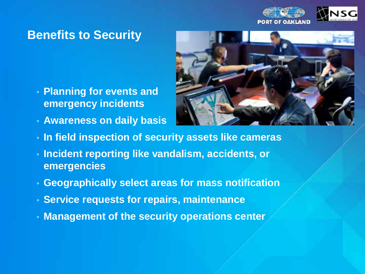

# **Benefits to Security**

- **Planning for events and emergency incidents**
- **Awareness on daily basis**



- **In field inspection of security assets like cameras**
- **Incident reporting like vandalism, accidents, or emergencies**
- **Geographically select areas for mass notification**
- **Service requests for repairs, maintenance**
- **Management of the security operations center**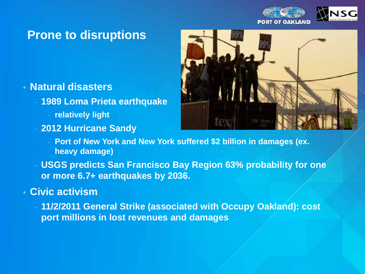

# **Prone to disruptions**

#### • **Natural disasters**

- **1989 Loma Prieta earthquake**
	- **relatively light**
- **2012 Hurricane Sandy**



- **Port of New York and New York suffered \$2 billion in damages (ex. heavy damage)**
- **USGS predicts San Francisco Bay Region 63% probability for one or more 6.7+ earthquakes by 2036.**

#### • **Civic activism**

- **11/2/2011 General Strike (associated with Occupy Oakland): cost port millions in lost revenues and damages**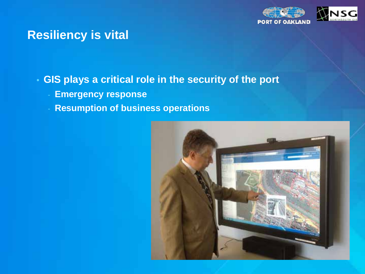

### **Resiliency is vital**

- **GIS plays a critical role in the security of the port**
	- **Emergency response**
	- **Resumption of business operations**

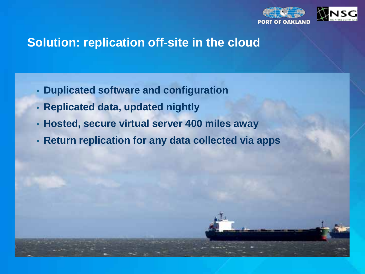

# **Solution: replication off-site in the cloud**

- **Duplicated software and configuration**
- **Replicated data, updated nightly**
- **Hosted, secure virtual server 400 miles away**
- **Return replication for any data collected via apps**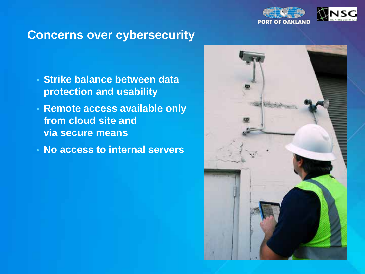

#### **Concerns over cybersecurity**

- **Strike balance between data protection and usability**
- **Remote access available only from cloud site and via secure means**
- **No access to internal servers**

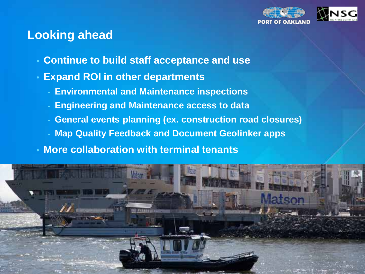

### **Looking ahead**

- **Continue to build staff acceptance and use**
- **Expand ROI in other departments**
	- **Environmental and Maintenance inspections**
	- **Engineering and Maintenance access to data**
	- General events planning (ex. construction road closures)
	- **Map Quality Feedback and Document Geolinker apps**
- **More collaboration with terminal tenants**